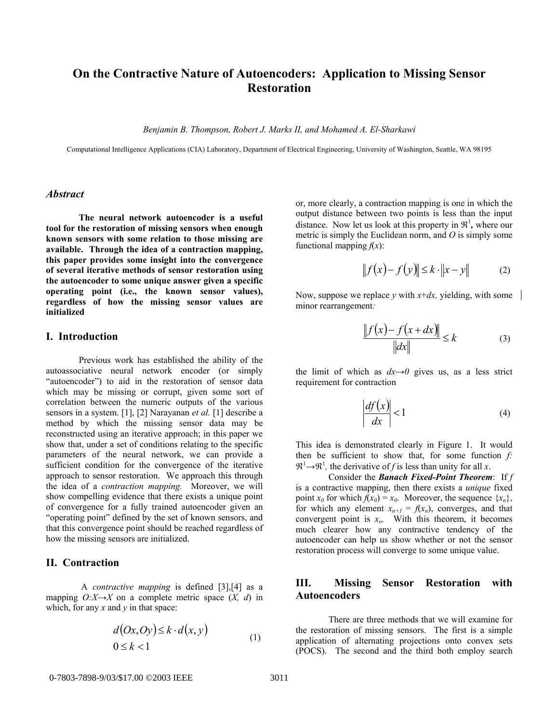# **On the Contractive Nature of Autoencoders: Application to Missing Sensor Restoration**

*Benjamin B. Thompson, Robert J. Marks II, and Mohamed A. El-Sharkawi* 

Computational Intelligence Applications (CIA) Laboratory, Department of Electrical Engineering, University of Washington, Seattle, WA 98195

### *Abstract*

**The neural network autoencoder is a useful tool for the restoration of missing sensors when enough known sensors with some relation to those missing are available. Through the idea of a contraction mapping, this paper provides some insight into the convergence of several iterative methods of sensor restoration using the autoencoder to some unique answer given a specific operating point (i.e., the known sensor values), regardless of how the missing sensor values are initialized** 

## **I. Introduction**

Previous work has established the ability of the autoassociative neural network encoder (or simply "autoencoder") to aid in the restoration of sensor data which may be missing or corrupt, given some sort of correlation between the numeric outputs of the various sensors in a system. [1], [2] Narayanan *et al.* [1] describe a method by which the missing sensor data may be reconstructed using an iterative approach; in this paper we show that, under a set of conditions relating to the specific parameters of the neural network, we can provide a sufficient condition for the convergence of the iterative approach to sensor restoration. We approach this through the idea of a *contraction mapping.* Moreover, we will show compelling evidence that there exists a unique point of convergence for a fully trained autoencoder given an "operating point" defined by the set of known sensors, and that this convergence point should be reached regardless of how the missing sensors are initialized.

# **II. Contraction**

 A *contractive mapping* is defined [3],[4] as a mapping  $O: X \rightarrow X$  on a complete metric space  $(X, d)$  in which, for any  $x$  and  $y$  in that space:

$$
d(0x,0y) \le k \cdot d(x,y)
$$
  
0 \le k < 1 (1)

or, more clearly, a contraction mapping is one in which the output distance between two points is less than the input distance. Now let us look at this property in  $\mathfrak{R}^1$ , where our metric is simply the Euclidean norm, and *O* is simply some functional mapping  $f(x)$ :

$$
||f(x) - f(y)|| \le k \cdot ||x - y||
$$
 (2)

Now, suppose we replace *y* with  $x+dx$ , yielding, with some minor rearrangement*:* 

$$
\frac{\|f(x) - f(x + dx)\|}{\|dx\|} \le k \tag{3}
$$

the limit of which as  $dx \rightarrow 0$  gives us, as a less strict requirement for contraction

$$
\left|\frac{df(x)}{dx}\right| < 1\tag{4}
$$

This idea is demonstrated clearly in Figure 1.It would then be sufficient to show that, for some function *f:*  $\mathfrak{R}^1 \rightarrow \mathfrak{R}^1$ , the derivative of *f* is less than unity for all *x*.

Consider the *Banach Fixed-Point Theorem*: If *f* is a contractive mapping, then there exists a *unique* fixed point  $x_0$  for which  $f(x_0) = x_0$ . Moreover, the sequence  $\{x_n\}$ , for which any element  $x_{n+1} = f(x_n)$ , converges, and that convergent point is  $x_0$ . With this theorem, it becomes much clearer how any contractive tendency of the autoencoder can help us show whether or not the sensor restoration process will converge to some unique value.

# **III. Missing Sensor Restoration with Autoencoders**

There are three methods that we will examine for the restoration of missing sensors. The first is a simple application of alternating projections onto convex sets (POCS). The second and the third both employ search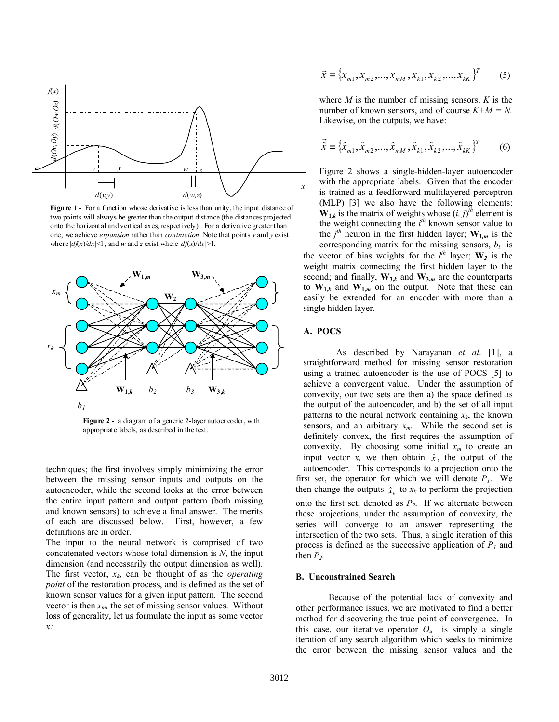

**Figure 1 -** For a function whose derivative is less than unity, the input distance of two points will always be greater than the output distance (the distances projected onto the horizontal and vertical axes, respectively). For a derivative greater than one, we achieve *expansion* rather than *contraction.* Note that points *v* and *y* exist where  $|df(x)/dx| \leq 1$ , and *w* and *z* exist where  $|df(x)/dx| > 1$ .



**Figure 2 -** a diagram of a generic 2-layer autoencoder, with appropriate labels, as described in the text.

techniques; the first involves simply minimizing the error between the missing sensor inputs and outputs on the autoencoder, while the second looks at the error between the entire input pattern and output pattern (both missing and known sensors) to achieve a final answer. The merits of each are discussed below. First, however, a few definitions are in order.

The input to the neural network is comprised of two concatenated vectors whose total dimension is *N*, the input dimension (and necessarily the output dimension as well). The first vector, *xk*, can be thought of as the *operating point* of the restoration process, and is defined as the set of known sensor values for a given input pattern. The second vector is then  $x_m$ , the set of missing sensor values. Without loss of generality, let us formulate the input as some vector *x:* 

$$
\vec{x} = \{x_{m1}, x_{m2}, \dots, x_{mM}, x_{k1}, x_{k2}, \dots, x_{kK}\}^{T}
$$
 (5)

where *M* is the number of missing sensors, *K* is the number of known sensors, and of course  $K+M = N$ . Likewise, on the outputs, we have:

$$
\vec{\hat{x}} \equiv {\hat{x}_{m1}, \hat{x}_{m2}, ..., \hat{x}_{mM}, \hat{x}_{k1}, \hat{x}_{k2}, ..., \hat{x}_{kk}}^T
$$
 (6)

Figure 2 shows a single-hidden-layer autoencoder with the appropriate labels. Given that the encoder is trained as a feedforward multilayered perceptron (MLP) [3] we also have the following elements:  $W_{1,k}$  is the matrix of weights whose  $(i, j)^{\bar{i}h}$  element is the weight connecting the *i th* known sensor value to the  $j^{th}$  neuron in the first hidden layer;  $W_{1,m}$  is the

corresponding matrix for the missing sensors,  $b_l$  is the vector of bias weights for the  $l^{th}$  layer;  $W_2$  is the weight matrix connecting the first hidden layer to the second; and finally,  $\mathbf{W}_{3,k}$  and  $\mathbf{W}_{3,m}$  are the counterparts to  $W_{1,k}$  and  $W_{1,m}$  on the output. Note that these can easily be extended for an encoder with more than a single hidden layer.

### **A. POCS**

As described by Narayanan *et al*. [1], a straightforward method for missing sensor restoration using a trained autoencoder is the use of POCS [5] to achieve a convergent value. Under the assumption of convexity, our two sets are then a) the space defined as the output of the autoencoder, and b) the set of all input patterns to the neural network containing  $x_k$ , the known sensors, and an arbitrary  $x_m$ . While the second set is definitely convex, the first requires the assumption of convexity. By choosing some initial  $x_m$  to create an input vector *x*, we then obtain  $\hat{x}$ , the output of the autoencoder. This corresponds to a projection onto the first set, the operator for which we will denote  $P<sub>1</sub>$ . We then change the outputs  $\hat{x}_k$  to  $x_k$  to perform the projection onto the first set, denoted as  $P_2$ . If we alternate between these projections, under the assumption of convexity, the series will converge to an answer representing the intersection of the two sets. Thus, a single iteration of this process is defined as the successive application of  $P<sub>1</sub>$  and then  $P_2$ .

### **B. Unconstrained Search**

 Because of the potential lack of convexity and other performance issues, we are motivated to find a better method for discovering the true point of convergence. In this case, our iterative operator  $O_u$  is simply a single iteration of any search algorithm which seeks to minimize the error between the missing sensor values and the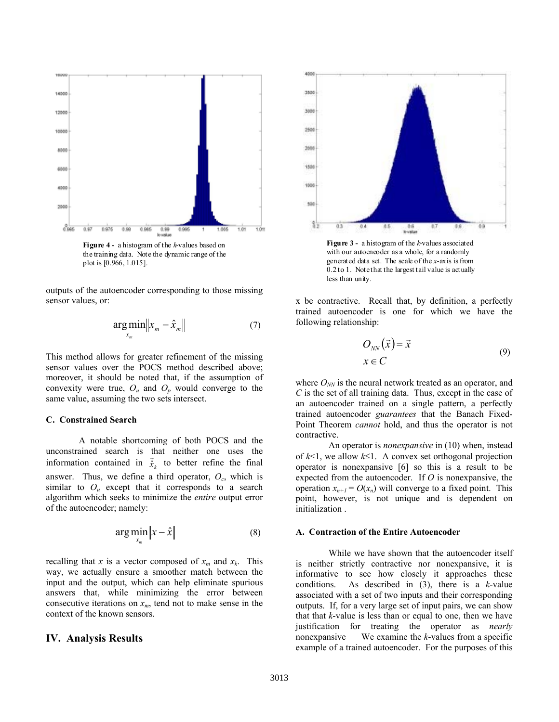

**Figure 4 -** a histogram of the *k*-values based on the training data. Note the dynamic range of the plot is [0.966, 1.015].

outputs of the autoencoder corresponding to those missing sensor values, or:

$$
\underset{x_m}{\arg\min} \|x_m - \hat{x}_m\| \tag{7}
$$

This method allows for greater refinement of the missing sensor values over the POCS method described above; moreover, it should be noted that, if the assumption of convexity were true,  $O_u$  and  $O_p$  would converge to the same value, assuming the two sets intersect.

#### **C. Constrained Search**

 A notable shortcoming of both POCS and the unconstrained search is that neither one uses the information contained in  $\vec{\hat{x}}_k$  to better refine the final answer. Thus, we define a third operator,  $O<sub>c</sub>$ , which is similar to  $O_u$  except that it corresponds to a search algorithm which seeks to minimize the *entire* output error of the autoencoder; namely:

$$
\arg\min_{x_m} \|x - \hat{x}\| \tag{8}
$$

recalling that *x* is a vector composed of  $x_m$  and  $x_k$ . This way, we actually ensure a smoother match between the input and the output, which can help eliminate spurious answers that, while minimizing the error between consecutive iterations on  $x_m$ , tend not to make sense in the context of the known sensors.

## **IV. Analysis Results**



**Figure 3 -** a histogram of the *k*-values associated with our autoencoder as a whole, for a randomly generated data set. The scale of the *x*-axis is from 0.2 to 1. Note that the largest tail value is actually less than unity.

x be contractive. Recall that, by definition, a perfectly trained autoencoder is one for which we have the following relationship:

$$
O_{NN}(\vec{x}) = \vec{x}
$$
  
 
$$
x \in C
$$
 (9)

where  $O_{NN}$  is the neural network treated as an operator, and *C* is the set of all training data. Thus, except in the case of an autoencoder trained on a single pattern, a perfectly trained autoencoder *guarantees* that the Banach Fixed-Point Theorem *cannot* hold, and thus the operator is not contractive.

An operator is *nonexpansive* in (10) when, instead of *k*<1, we allow *k*≤1. A convex set orthogonal projection operator is nonexpansive [6] so this is a result to be expected from the autoencoder. If *O* is nonexpansive, the operation  $x_{n+1} = O(x_n)$  will converge to a fixed point. This point, however, is not unique and is dependent on initialization .

#### **A. Contraction of the Entire Autoencoder**

 While we have shown that the autoencoder itself is neither strictly contractive nor nonexpansive, it is informative to see how closely it approaches these conditions. As described in (3), there is a *k*-value associated with a set of two inputs and their corresponding outputs. If, for a very large set of input pairs, we can show that that *k*-value is less than or equal to one, then we have justification for treating the operator as *nearly*  nonexpansive We examine the *k*-values from a specific example of a trained autoencoder. For the purposes of this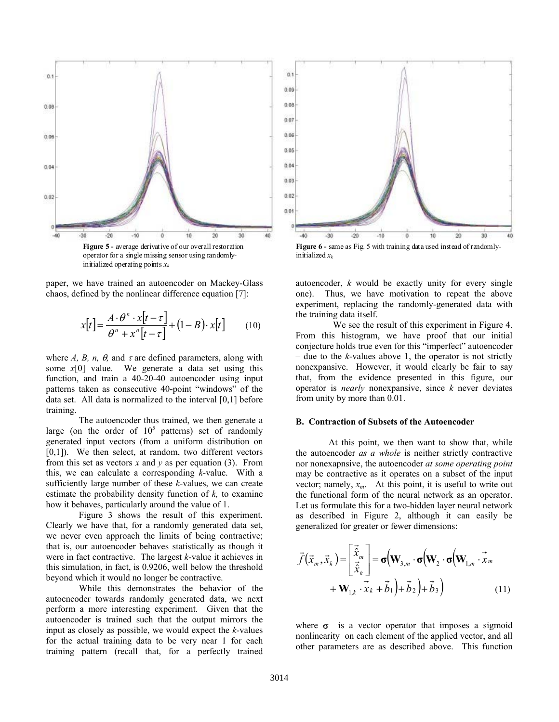

paper, we have trained an autoencoder on Mackey-Glass chaos, defined by the nonlinear difference equation [7]:

$$
x[t] = \frac{A \cdot \theta^n \cdot x[t - \tau]}{\theta^n + x^n[t - \tau]} + (1 - B) \cdot x[t] \qquad (10)
$$

where *A, B, n,*  $\theta$ *, and*  $\tau$  *are defined parameters, along with* some *x*[0] value. We generate a data set using this function, and train a 40-20-40 autoencoder using input patterns taken as consecutive 40-point "windows" of the data set. All data is normalized to the interval [0,1] before training.

 The autoencoder thus trained, we then generate a large (on the order of  $10^5$  patterns) set of randomly generated input vectors (from a uniform distribution on  $[0,1]$ ). We then select, at random, two different vectors from this set as vectors  $x$  and  $y$  as per equation (3). From this, we can calculate a corresponding *k-*value. With a sufficiently large number of these *k*-values, we can create estimate the probability density function of *k,* to examine how it behaves, particularly around the value of 1.

 Figure 3 shows the result of this experiment. Clearly we have that, for a randomly generated data set, we never even approach the limits of being contractive; that is, our autoencoder behaves statistically as though it were in fact contractive. The largest *k-*value it achieves in this simulation, in fact, is 0.9206, well below the threshold beyond which it would no longer be contractive.

 While this demonstrates the behavior of the autoencoder towards randomly generated data, we next perform a more interesting experiment. Given that the autoencoder is trained such that the output mirrors the input as closely as possible, we would expect the *k-*values for the actual training data to be very near 1 for each training pattern (recall that, for a perfectly trained



initialized *xk*

autoencoder, *k* would be exactly unity for every single one). Thus, we have motivation to repeat the above experiment, replacing the randomly-generated data with the training data itself.

 We see the result of this experiment in Figure 4. From this histogram, we have proof that our initial conjecture holds true even for this "imperfect" autoencoder – due to the *k*-values above 1, the operator is not strictly nonexpansive. However, it would clearly be fair to say that, from the evidence presented in this figure, our operator is *nearly* nonexpansive, since *k* never deviates from unity by more than 0.01.

## **B. Contraction of Subsets of the Autoencoder**

At this point, we then want to show that, while the autoencoder *as a whole* is neither strictly contractive nor nonexapnsive, the autoencoder *at some operating point* may be contractive as it operates on a subset of the input vector; namely,  $x_m$ . At this point, it is useful to write out the functional form of the neural network as an operator. Let us formulate this for a two-hidden layer neural network as described in Figure 2, although it can easily be generalized for greater or fewer dimensions:

$$
\vec{f}(\vec{x}_m, \vec{x}_k) = \begin{bmatrix} \vec{\hat{x}}_m \\ \vec{\hat{x}}_k \end{bmatrix} = \sigma \Big(\mathbf{W}_{3,m} \cdot \sigma \Big(\mathbf{W}_{2} \cdot \sigma \Big(\mathbf{W}_{1,m} \cdot \vec{x}_m + \mathbf{W}_{1,k} \cdot \vec{x}_k + \vec{b}_1 \Big) + \vec{b}_2 \Big) + \vec{b}_3 \Big)
$$
(11)

where  $\sigma$  is a vector operator that imposes a sigmoid nonlinearity on each element of the applied vector, and all other parameters are as described above. This function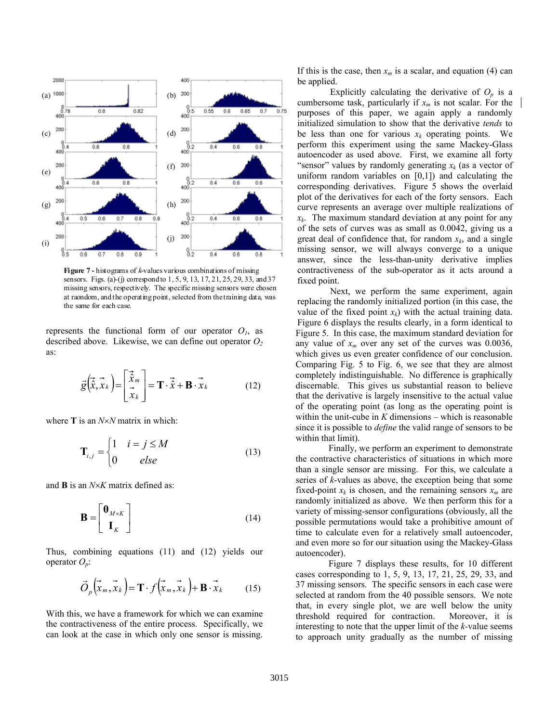

**Figure 7 -** histograms of *k*-values various combinations of missing sensors. Figs. (a)-(j) correspond to 1, 5, 9, 13, 17, 21, 25, 29, 33, and 37 missing sensors, respectively. The specific missing sensors were chosen at raondom, and the operating point, selected from the training data, was the same for each case.

represents the functional form of our operator  $O<sub>l</sub>$ , as described above. Likewise, we can define out operator *O2* as:

$$
\vec{g}\left(\vec{\hat{x}}, \vec{x}_k\right) = \begin{bmatrix} \vec{\hat{x}}_m \\ \vec{x}_m \\ \vec{x}_k \end{bmatrix} = \mathbf{T} \cdot \vec{\hat{x}} + \mathbf{B} \cdot \vec{x}_k \tag{12}
$$

where **T** is an *N*×*N* matrix in which:

$$
\mathbf{T}_{i,j} = \begin{cases} 1 & i = j \le M \\ 0 & else \end{cases} \tag{13}
$$

and **B** is an *N*×*K* matrix defined as:

$$
\mathbf{B} = \begin{bmatrix} \mathbf{0}_{M \times K} \\ \mathbf{I}_K \end{bmatrix}
$$
 (14)

Thus, combining equations (11) and (12) yields our operator  $O_n$ :

$$
\vec{O}_p\left(\vec{x}_m, \vec{x}_k\right) = \mathbf{T} \cdot f\left(\vec{x}_m, \vec{x}_k\right) + \mathbf{B} \cdot \vec{x}_k \tag{15}
$$

With this, we have a framework for which we can examine the contractiveness of the entire process. Specifically, we can look at the case in which only one sensor is missing.

If this is the case, then  $x_m$  is a scalar, and equation (4) can be applied.

Explicitly calculating the derivative of  $O_p$  is a cumbersome task, particularly if  $x_m$  is not scalar. For the purposes of this paper, we again apply a randomly initialized simulation to show that the derivative *tends* to be less than one for various  $x_k$  operating points. We perform this experiment using the same Mackey-Glass autoencoder as used above. First, we examine all forty "sensor" values by randomly generating  $x_k$  (as a vector of uniform random variables on  $[0,1]$  and calculating the corresponding derivatives. Figure 5 shows the overlaid plot of the derivatives for each of the forty sensors. Each curve represents an average over multiple realizations of  $x_k$ . The maximum standard deviation at any point for any of the sets of curves was as small as 0.0042, giving us a great deal of confidence that, for random  $x_k$ , and a single missing sensor, we will always converge to a unique answer, since the less-than-unity derivative implies contractiveness of the sub-operator as it acts around a fixed point.

 Next, we perform the same experiment, again replacing the randomly initialized portion (in this case, the value of the fixed point  $x_k$ ) with the actual training data. Figure 6 displays the results clearly, in a form identical to Figure 5. In this case, the maximum standard deviation for any value of  $x_m$  over any set of the curves was 0.0036, which gives us even greater confidence of our conclusion. Comparing Fig. 5 to Fig. 6, we see that they are almost completely indistinguishable. No difference is graphically discernable. This gives us substantial reason to believe that the derivative is largely insensitive to the actual value of the operating point (as long as the operating point is within the unit-cube in *K* dimensions – which is reasonable since it is possible to *define* the valid range of sensors to be within that limit).

 Finally, we perform an experiment to demonstrate the contractive characteristics of situations in which more than a single sensor are missing. For this, we calculate a series of *k*-values as above, the exception being that some fixed-point  $x_k$  is chosen, and the remaining sensors  $x_m$  are randomly initialized as above. We then perform this for a variety of missing-sensor configurations (obviously, all the possible permutations would take a prohibitive amount of time to calculate even for a relatively small autoencoder, and even more so for our situation using the Mackey-Glass autoencoder).

 Figure 7 displays these results, for 10 different cases corresponding to 1, 5, 9, 13, 17, 21, 25, 29, 33, and 37 missing sensors. The specific sensors in each case were selected at random from the 40 possible sensors. We note that, in every single plot, we are well below the unity threshold required for contraction. Moreover, it is interesting to note that the upper limit of the *k-*value seems to approach unity gradually as the number of missing